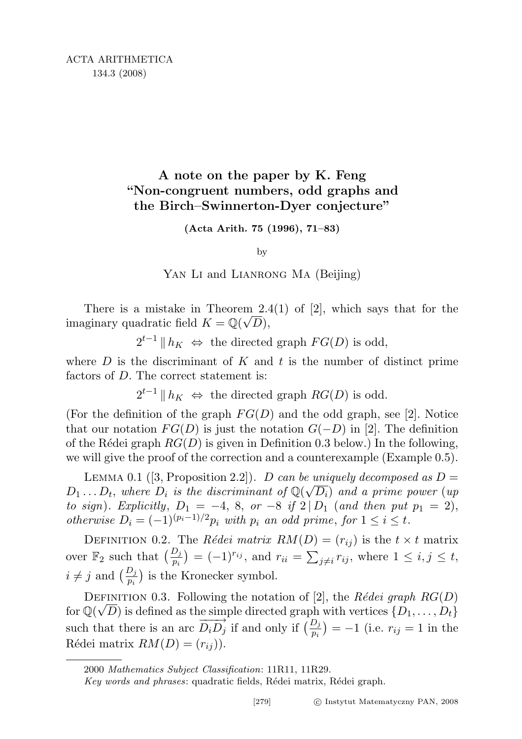## A note on the paper by K. Feng "Non-congruent numbers, odd graphs and the Birch–Swinnerton-Dyer conjecture"

(Acta Arith. 75 (1996), 71–83)

by

YAN LI and LIANRONG MA (Beijing)

There is a mistake in Theorem 2.4(1) of [2], which says that for the imaginary quadratic field  $K = \mathbb{Q}(\sqrt{D}),$ 

 $2^{t-1}$  ||  $h_K$  ⇔ the directed graph  $FG(D)$  is odd,

where  $D$  is the discriminant of  $K$  and  $t$  is the number of distinct prime factors of D. The correct statement is:

 $2^{t-1}$  ||  $h_K \Leftrightarrow$  the directed graph  $RG(D)$  is odd.

(For the definition of the graph  $FG(D)$  and the odd graph, see [2]. Notice that our notation  $FG(D)$  is just the notation  $G(-D)$  in [2]. The definition of the Rédei graph  $RG(D)$  is given in Definition 0.3 below.) In the following, we will give the proof of the correction and a counterexample (Example 0.5).

LEMMA 0.1 ([3, Proposition 2.2]). D can be uniquely decomposed as  $D =$  $D_1 \ldots D_t$ , where  $D_i$  is the discriminant of  $\mathbb{Q}(\sqrt{D_i})$  and a prime power (up to sign). Explicitly,  $D_1 = -4$ , 8, or  $-8$  if  $2 | D_1$  (and then put  $p_1 = 2$ ), otherwise  $D_i = (-1)^{(p_i-1)/2} p_i$  with  $p_i$  an odd prime, for  $1 \le i \le t$ .

DEFINITION 0.2. The Rédei matrix  $RM(D) = (r_{ij})$  is the  $t \times t$  matrix over  $\mathbb{F}_2$  such that  $\left(\frac{D_j}{p_i}\right) = (-1)^{r_{ij}}$ , and  $r_{ii} = \sum_{j\neq i} r_{ij}$ , where  $1 \leq i, j \leq t$ ,  $i \neq j$  and  $\left(\frac{D_j}{p_i}\right)$  is the Kronecker symbol.

DEFINITION 0.3. Following the notation of [2], the Rédei graph  $RG(D)$ for  $\mathbb{Q}(\sqrt{D})$  is defined as the simple directed graph with vertices  $\{D_1,\ldots,D_t\}$ such that there is an arc  $\overline{D_i D_j}$  if and only if  $\left(\frac{D_j}{p_i}\right) = -1$  (i.e.  $r_{ij} = 1$  in the Rédei matrix  $RM(D) = (r_{ij})$ .

<sup>2000</sup> Mathematics Subject Classification: 11R11, 11R29.

Key words and phrases: quadratic fields, Rédei matrix, Rédei graph.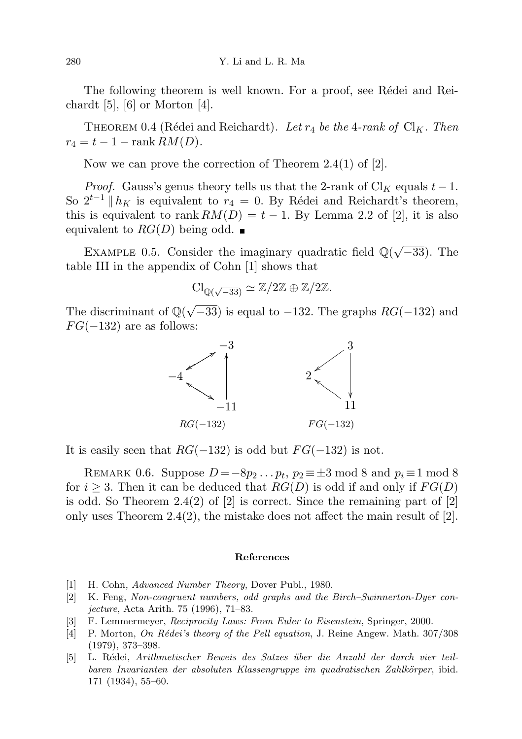The following theorem is well known. For a proof, see Rédei and Reichardt  $[5]$ ,  $[6]$  or Morton  $[4]$ .

THEOREM 0.4 (Rédei and Reichardt). Let  $r_4$  be the 4-rank of  $\text{Cl}_K$ . Then  $r_4 = t - 1 - \text{rank } RM(D).$ 

Now we can prove the correction of Theorem 2.4(1) of [2].

*Proof.* Gauss's genus theory tells us that the 2-rank of Cl<sub>K</sub> equals  $t-1$ . So  $2^{t-1} || h_K$  is equivalent to  $r_4 = 0$ . By Rédei and Reichardt's theorem, this is equivalent to rank  $RM(D) = t - 1$ . By Lemma 2.2 of [2], it is also equivalent to  $RG(D)$  being odd.

EXAMPLE 0.5. Consider the imaginary quadratic field  $\mathbb{Q}(\sqrt{\mathbb{Z}})$ −33). The table III in the appendix of Cohn [1] shows that

$$
Cl_{\mathbb{Q}(\sqrt{-33})} \simeq \mathbb{Z}/2\mathbb{Z} \oplus \mathbb{Z}/2\mathbb{Z}.
$$

The discriminant of  $\mathbb{Q}(\sqrt{2})$  $-33$ ) is equal to  $-132$ . The graphs  $RG(-132)$  and  $FG(-132)$  are as follows:



It is easily seen that  $RG(-132)$  is odd but  $FG(-132)$  is not.

REMARK 0.6. Suppose  $D = -8p_2 \dots p_t$ ,  $p_2 \equiv \pm 3 \mod 8$  and  $p_i \equiv 1 \mod 8$ for  $i \geq 3$ . Then it can be deduced that  $RG(D)$  is odd if and only if  $FG(D)$ is odd. So Theorem 2.4(2) of  $|2|$  is correct. Since the remaining part of  $|2|$ only uses Theorem 2.4(2), the mistake does not affect the main result of  $[2]$ .

## References

- [1] H. Cohn, Advanced Number Theory, Dover Publ., 1980.
- [2] K. Feng, Non-congruent numbers, odd graphs and the Birch–Swinnerton-Dyer conjecture, Acta Arith. 75 (1996), 71–83.
- [3] F. Lemmermeyer, Reciprocity Laws: From Euler to Eisenstein, Springer, 2000.
- [4] P. Morton, On Rédei's theory of the Pell equation, J. Reine Angew. Math. 307/308 (1979), 373–398.
- [5] L. R´edei, Arithmetischer Beweis des Satzes ¨uber die Anzahl der durch vier teilbaren Invarianten der absoluten Klassengruppe im quadratischen Zahlkörper, ibid. 171 (1934), 55–60.